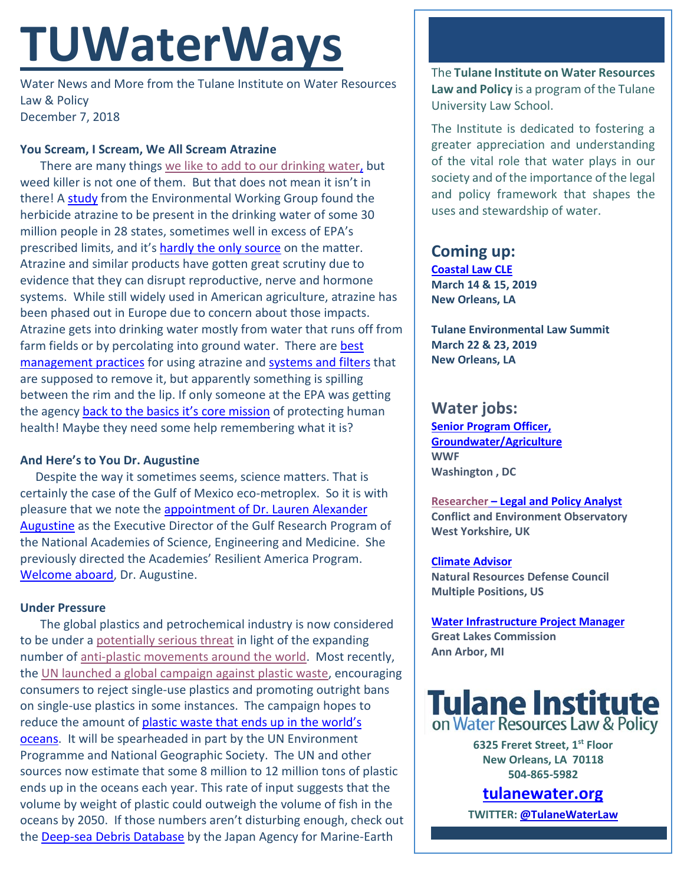# **TUWaterWays**

Water News and More from the Tulane Institute on Water Resources Law & Policy December 7, 2018

## **You Scream, I Scream, We All Scream Atrazine**

There are many things [we like to add to our drinking water,](https://www.youtube.com/watch?v=Wi1yvahky4Y) but weed killer is not one of them. But that does not mean it isn't in there! A [study](https://cdn3.ewg.org/sites/default/files/u352/EWG_AtrazineReport_C04.pdf) from the Environmental Working Group found the herbicide atrazine to be present in the drinking water of some 30 million people in 28 states, sometimes well in excess of EPA's prescribed limits, and it's [hardly the only source](https://ephtracking.cdc.gov/showAtrazineHealth.action) on the matter. Atrazine and similar products have gotten great scrutiny due to evidence that they can disrupt reproductive, nerve and hormone systems. While still widely used in American agriculture, atrazine has been phased out in Europe due to concern about those impacts. Atrazine gets into drinking water mostly from water that runs off from farm fields or by percolating into ground water. There are best [management practices](https://cdn3.ewg.org/sites/default/files/u352/EWG_AtrazineReport_C04.pdf?_ga=2.147067060.203717327.1544118994-197267707.1544118994) for using atrazine and systems [and filters](http://www.ipcbee.com/vol3/6-L017.pdf) that are supposed to remove it, but apparently something is spilling between the rim and the lip. If only someone at the EPA was getting the agency **back to the basics [it's core mission](https://www.epa.gov/home/returning-epa-its-core-mission)** of protecting human health! Maybe they need some help remembering what it is?

### **And Here's to You Dr. Augustine**

Despite the way it sometimes seems, science matters. That is certainly the case of the Gulf of Mexico eco-metroplex. So it is with pleasure that we note the appointment of Dr. Lauren Alexander [Augustine](http://www8.nationalacademies.org/onpinews/newsitem.aspx?RecordID=12052018) as the Executive Director of the Gulf Research Program of the National Academies of Science, Engineering and Medicine. She previously directed the Academies' Resilient America Program. [Welcome aboard,](https://media.giphy.com/media/3oEhmOyl9YmGptHaoM/giphy.gif) Dr. Augustine.

# **Under Pressure**

The global plastics and petrochemical industry is now considered to be under a [potentially serious threat](https://www.plasticsnews.com/article/20180906/BLOG01/180909948/are-product-bans-a-serious-threat-to-plastics-industry-growth) in light of the expanding number of [anti-plastic movements around the world.](https://pbs.twimg.com/media/Codr5UNWEAAwPg0.jpg) Most recently, the [UN launched a global campaign against plastic waste,](http://webtv.un.org/www.unwomen.org/en/executive-board/watch/launch-of-the-global-campaign-against-plastic-pollution-ga-president-antigua-and-barbuda-norway-%E2%80%93-media-stakeout-4-december-2018/5975374556001/?term=&lan=original) encouraging consumers to reject single-use plastics and promoting outright bans on single-use plastics in some instances. The campaign hopes to reduce the amount of plastic waste that ends up in the world's [oceans.](https://i.pinimg.com/originals/d0/e1/81/d0e1819062c50cca1589fbe3fbe874e5.jpg) It will be spearheaded in part by the UN Environment Programme and National Geographic Society. The UN and other sources now estimate that some 8 million to 12 million tons of plastic ends up in the oceans each year. This rate of input suggests that the volume by weight of plastic could outweigh the volume of fish in the oceans by 2050. If those numbers aren't disturbing enough, check out the [Deep-sea Debris Database](http://www.godac.jamstec.go.jp/catalog/dsdebris/e/) by the Japan Agency for Marine-Earth

The **Tulane Institute on Water Resources Law and Policy** is a program of the Tulane University Law School.

The Institute is dedicated to fostering a greater appreciation and understanding of the vital role that water plays in our society and of the importance of the legal and policy framework that shapes the uses and stewardship of water.

# **Coming up:**

**[Coastal Law CLE](https://www.theseminargroup.net/seminardetl.aspx?id=19.shrNO) March 14 & 15, 2019 New Orleans, LA**

**Tulane Environmental Law Summit March 22 & 23, 2019 New Orleans, LA** 

# **Water jobs:**

**[Senior Program Officer,](https://careers-wwfus.icims.com/jobs/2211/19053--senior-program-officer%2c-groundwater--agriculture-water/job?mobile=false&width=1000&height=500&bga=true&needsRedirect=false&jan1offset=-360&jun1offset=-300)  [Groundwater/Agriculture](https://careers-wwfus.icims.com/jobs/2211/19053--senior-program-officer%2c-groundwater--agriculture-water/job?mobile=false&width=1000&height=500&bga=true&needsRedirect=false&jan1offset=-360&jun1offset=-300) WWF Washington , DC**

**[Researcher](https://careers.wbcsd.org/job/climate-energy-2/) – Legal and Policy Analyst Conflict and Environment Observatory West Yorkshire, UK**

# **[Climate Advisor](https://careers-nrdc.icims.com/jobs/search?ss=1)**

**Natural Resources Defense Council Multiple Positions, US** 

**[Water Infrastructure Project Manager](https://www.glc.org/news/position-available-water-infrastructure-20181120) Great Lakes Commission Ann Arbor, MI**



**6325 Freret Street, 1st Floor New Orleans, LA 70118 504-865-5982** 

**tulanewater.org**

**TWITTER[: @TulaneWaterLaw](http://www.twitter.com/TulaneWaterLaw)**